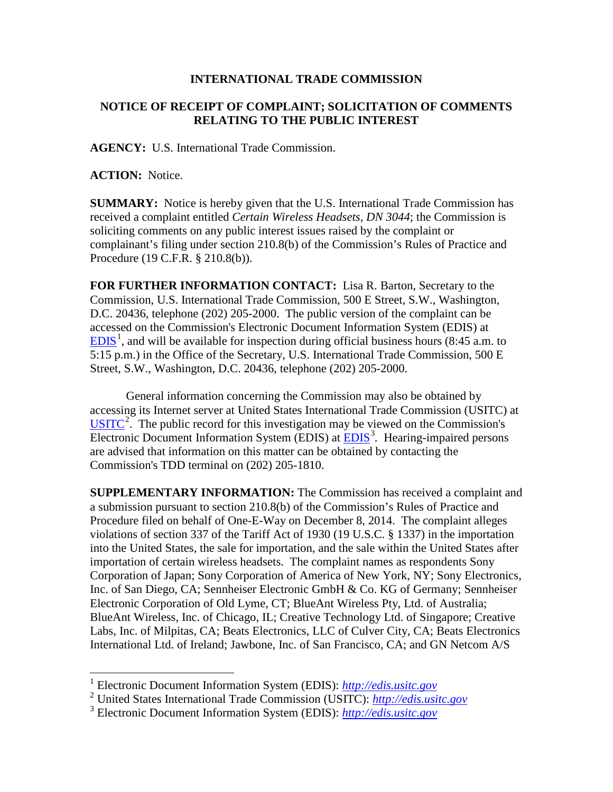## **INTERNATIONAL TRADE COMMISSION**

## **NOTICE OF RECEIPT OF COMPLAINT; SOLICITATION OF COMMENTS RELATING TO THE PUBLIC INTEREST**

**AGENCY:** U.S. International Trade Commission.

**ACTION:** Notice.

 $\overline{a}$ 

**SUMMARY:** Notice is hereby given that the U.S. International Trade Commission has received a complaint entitled *Certain Wireless Headsets, DN 3044*; the Commission is soliciting comments on any public interest issues raised by the complaint or complainant's filing under section 210.8(b) of the Commission's Rules of Practice and Procedure (19 C.F.R. § 210.8(b)).

**FOR FURTHER INFORMATION CONTACT:** Lisa R. Barton, Secretary to the Commission, U.S. International Trade Commission, 500 E Street, S.W., Washington, D.C. 20436, telephone (202) 205-2000. The public version of the complaint can be accessed on the Commission's Electronic Document Information System (EDIS) at  $EDIS<sup>1</sup>$  $EDIS<sup>1</sup>$  $EDIS<sup>1</sup>$  $EDIS<sup>1</sup>$ , and will be available for inspection during official business hours (8:45 a.m. to 5:15 p.m.) in the Office of the Secretary, U.S. International Trade Commission, 500 E Street, S.W., Washington, D.C. 20436, telephone (202) 205-2000.

General information concerning the Commission may also be obtained by accessing its Internet server at United States International Trade Commission (USITC) at  $\overline{USTTC}^2$  $\overline{USTTC}^2$ . The public record for this investigation may be viewed on the Commission's Electronic Document Information System (EDIS) at **EDIS**<sup>[3](#page-0-2)</sup>. Hearing-impaired persons are advised that information on this matter can be obtained by contacting the Commission's TDD terminal on (202) 205-1810.

**SUPPLEMENTARY INFORMATION:** The Commission has received a complaint and a submission pursuant to section 210.8(b) of the Commission's Rules of Practice and Procedure filed on behalf of One-E-Way on December 8, 2014. The complaint alleges violations of section 337 of the Tariff Act of 1930 (19 U.S.C. § 1337) in the importation into the United States, the sale for importation, and the sale within the United States after importation of certain wireless headsets. The complaint names as respondents Sony Corporation of Japan; Sony Corporation of America of New York, NY; Sony Electronics, Inc. of San Diego, CA; Sennheiser Electronic GmbH & Co. KG of Germany; Sennheiser Electronic Corporation of Old Lyme, CT; BlueAnt Wireless Pty, Ltd. of Australia; BlueAnt Wireless, Inc. of Chicago, IL; Creative Technology Ltd. of Singapore; Creative Labs, Inc. of Milpitas, CA; Beats Electronics, LLC of Culver City, CA; Beats Electronics International Ltd. of Ireland; Jawbone, Inc. of San Francisco, CA; and GN Netcom A/S

<sup>1</sup> Electronic Document Information System (EDIS): *[http://edis.usitc.gov](http://edis.usitc.gov/)*

<span id="page-0-1"></span><span id="page-0-0"></span><sup>2</sup> United States International Trade Commission (USITC): *[http://edis.usitc.gov](http://edis.usitc.gov/)*

<span id="page-0-2"></span><sup>3</sup> Electronic Document Information System (EDIS): *[http://edis.usitc.gov](http://edis.usitc.gov/)*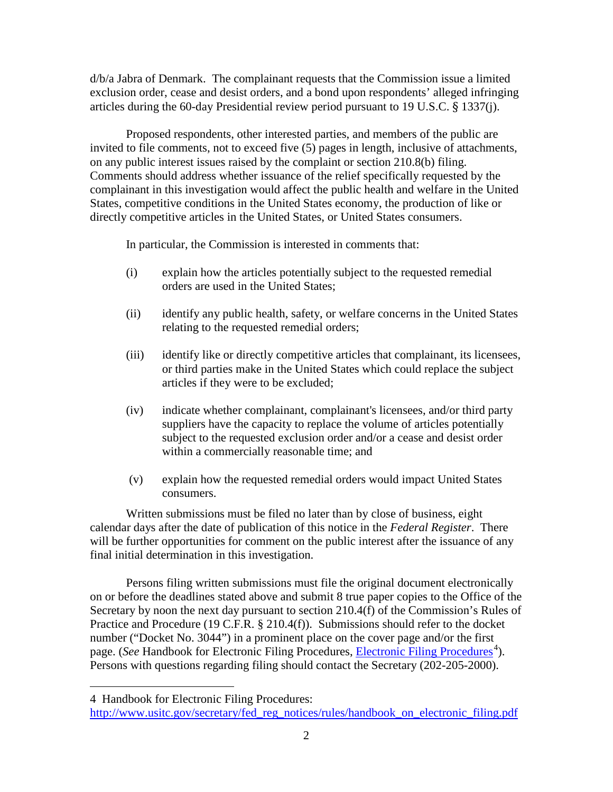d/b/a Jabra of Denmark. The complainant requests that the Commission issue a limited exclusion order, cease and desist orders, and a bond upon respondents' alleged infringing articles during the 60-day Presidential review period pursuant to 19 U.S.C. § 1337(j).

Proposed respondents, other interested parties, and members of the public are invited to file comments, not to exceed five (5) pages in length, inclusive of attachments, on any public interest issues raised by the complaint or section 210.8(b) filing. Comments should address whether issuance of the relief specifically requested by the complainant in this investigation would affect the public health and welfare in the United States, competitive conditions in the United States economy, the production of like or directly competitive articles in the United States, or United States consumers.

In particular, the Commission is interested in comments that:

- (i) explain how the articles potentially subject to the requested remedial orders are used in the United States;
- (ii) identify any public health, safety, or welfare concerns in the United States relating to the requested remedial orders;
- (iii) identify like or directly competitive articles that complainant, its licensees, or third parties make in the United States which could replace the subject articles if they were to be excluded;
- (iv) indicate whether complainant, complainant's licensees, and/or third party suppliers have the capacity to replace the volume of articles potentially subject to the requested exclusion order and/or a cease and desist order within a commercially reasonable time; and
- (v) explain how the requested remedial orders would impact United States consumers.

Written submissions must be filed no later than by close of business, eight calendar days after the date of publication of this notice in the *Federal Register*. There will be further opportunities for comment on the public interest after the issuance of any final initial determination in this investigation.

Persons filing written submissions must file the original document electronically on or before the deadlines stated above and submit 8 true paper copies to the Office of the Secretary by noon the next day pursuant to section 210.4(f) of the Commission's Rules of Practice and Procedure (19 C.F.R. § 210.4(f)). Submissions should refer to the docket number ("Docket No. 3044") in a prominent place on the cover page and/or the first page. (*See* Handbook for [Electronic Filing Procedures](http://www.usitc.gov/secretary/fed_reg_notices/rules/handbook_on_electronic_filing.pdf), *Electronic Filing Procedures*<sup>[4](#page-1-0)</sup>). Persons with questions regarding filing should contact the Secretary (202-205-2000).

 $\overline{a}$ 

<span id="page-1-0"></span><sup>4</sup> Handbook for Electronic Filing Procedures:

http://www.usitc.gov/secretary/fed\_reg\_notices/rules/handbook\_on\_electronic\_filing.pdf